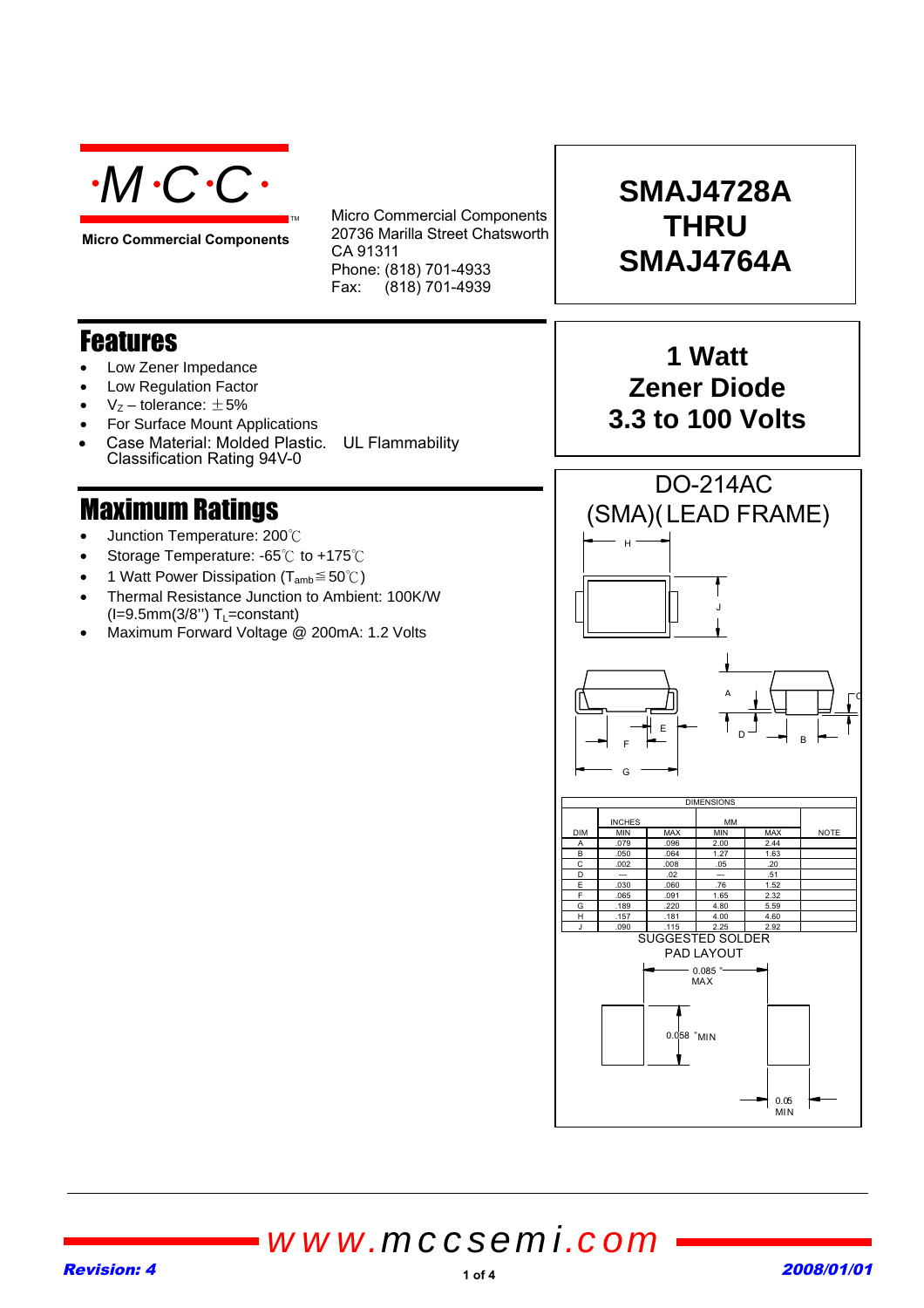

**Micro Commercial Components**

Micro Commercial Components 20736 Marilla Street Chatsworth CA 91311 Phone: (818) 701-4933 Fax: (818) 701-4939

### **Features**

- Low Zener Impedance
- Low Regulation Factor
- $V<sub>z</sub>$  tolerance:  $\pm$ 5%
- For Surface Mount Applications
- Case Material: Molded Plastic. UL Flammability Classification Rating 94V-0

TM

## **Maximum Ratings**

- Junction Temperature: 200°C
- Storage Temperature: -65°C to +175°C
- 1 Watt Power Dissipation ( $T_{amb} \leq 50^{\circ}$ C)
- Thermal Resistance Junction to Ambient: 100K/W  $(I=9.5mm(3/8")$  T<sub>L</sub>=constant)
- Maximum Forward Voltage @ 200mA: 1.2 Volts

# **SMAJ4728A THRU SMAJ4764A**

## **1 Watt Zener Diode 3.3 to 100 Volts**



*www.mccsemi.com*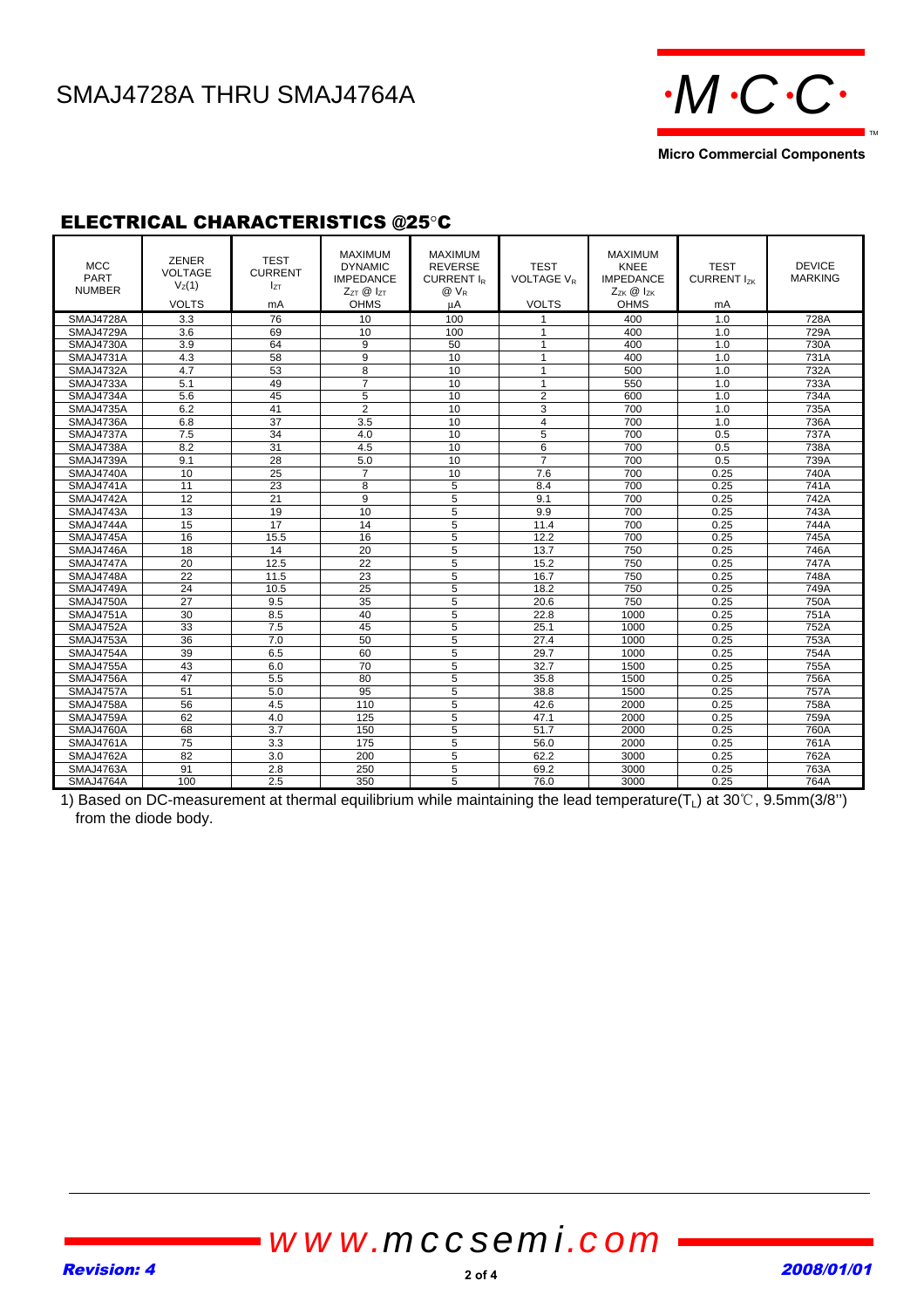# SMAJ4728A THRU SMAJ4764A **MCCC**



**Micro Commercial Components**

### ELECTRICAL CHARACTERISTICS @25°C

| <b>MCC</b><br><b>PART</b><br><b>NUMBER</b> | <b>ZENER</b><br><b>VOLTAGE</b><br>V <sub>Z</sub> (1)<br><b>VOLTS</b> | <b>TEST</b><br><b>CURRENT</b><br>I <sub>ZΤ</sub><br>mA | <b>MAXIMUM</b><br><b>DYNAMIC</b><br><b>IMPEDANCE</b><br>$Z_{7T}$ $\otimes$ $I_{7T}$<br><b>OHMS</b> | MAXIMUM<br><b>REVERSE</b><br>CURRENT IR<br>@ V <sub>R</sub><br>μA | <b>TEST</b><br><b>VOLTAGE V<sub>P</sub></b><br><b>VOLTS</b> | <b>MAXIMUM</b><br><b>KNEE</b><br><b>IMPEDANCE</b><br>$Z_{ZK}$ @ $I_{ZK}$<br><b>OHMS</b> | <b>TEST</b><br>CURRENT I <sub>zK</sub><br>mA | <b>DEVICE</b><br><b>MARKING</b> |
|--------------------------------------------|----------------------------------------------------------------------|--------------------------------------------------------|----------------------------------------------------------------------------------------------------|-------------------------------------------------------------------|-------------------------------------------------------------|-----------------------------------------------------------------------------------------|----------------------------------------------|---------------------------------|
| SMAJ4728A                                  | 3.3                                                                  | 76                                                     | 10                                                                                                 | 100                                                               | $\mathbf{1}$                                                | 400                                                                                     | 1.0                                          | 728A                            |
| SMAJ4729A                                  | 3.6                                                                  | 69                                                     | 10                                                                                                 | 100                                                               | $\mathbf{1}$                                                | 400                                                                                     | 1.0                                          | 729A                            |
| <b>SMAJ4730A</b>                           | 3.9                                                                  | 64                                                     | 9                                                                                                  | 50                                                                | $\mathbf{1}$                                                | 400                                                                                     | 1.0                                          | 730A                            |
| SMAJ4731A                                  | 4.3                                                                  | 58                                                     | 9                                                                                                  | 10                                                                | $\mathbf{1}$                                                | 400                                                                                     | 1.0                                          | 731A                            |
| SMAJ4732A                                  | 4.7                                                                  | 53                                                     | 8                                                                                                  | 10                                                                | $\overline{1}$                                              | 500                                                                                     | 1.0                                          | 732A                            |
| SMAJ4733A                                  | 5.1                                                                  | 49                                                     | $\overline{7}$                                                                                     | 10                                                                | $\mathbf{1}$                                                | 550                                                                                     | 1.0                                          | 733A                            |
| SMAJ4734A                                  | 5.6                                                                  | 45                                                     | 5                                                                                                  | 10                                                                | $\overline{2}$                                              | 600                                                                                     | 1.0                                          | 734A                            |
| SMAJ4735A                                  | 6.2                                                                  | 41                                                     | $\overline{2}$                                                                                     | 10                                                                | 3                                                           | 700                                                                                     | 1.0                                          | 735A                            |
| SMAJ4736A                                  | 6.8                                                                  | 37                                                     | 3.5                                                                                                | 10                                                                | 4                                                           | 700                                                                                     | 1.0                                          | 736A                            |
| SMAJ4737A                                  | 7.5                                                                  | 34                                                     | 4.0                                                                                                | 10                                                                | 5                                                           | 700                                                                                     | 0.5                                          | 737A                            |
| SMAJ4738A                                  | 8.2                                                                  | 31                                                     | 4.5                                                                                                | 10                                                                | 6                                                           | 700                                                                                     | 0.5                                          | 738A                            |
| SMAJ4739A                                  | 9.1                                                                  | 28                                                     | 5.0                                                                                                | 10                                                                | $\overline{7}$                                              | 700                                                                                     | 0.5                                          | 739A                            |
| SMAJ4740A                                  | 10                                                                   | 25                                                     | $\overline{7}$                                                                                     | 10                                                                | 7.6                                                         | 700                                                                                     | 0.25                                         | 740A                            |
| <b>SMAJ4741A</b>                           | 11                                                                   | 23                                                     | 8                                                                                                  | 5                                                                 | 8.4                                                         | 700                                                                                     | 0.25                                         | 741A                            |
| SMAJ4742A                                  | 12                                                                   | 21                                                     | 9                                                                                                  | 5                                                                 | 9.1                                                         | 700                                                                                     | 0.25                                         | 742A                            |
| SMAJ4743A                                  | 13                                                                   | 19                                                     | 10                                                                                                 | 5                                                                 | 9.9                                                         | 700                                                                                     | 0.25                                         | 743A                            |
| SMAJ4744A                                  | $\overline{15}$                                                      | $\overline{17}$                                        | 14                                                                                                 | 5                                                                 | 11.4                                                        | 700                                                                                     | 0.25                                         | 744A                            |
| SMAJ4745A                                  | 16                                                                   | 15.5                                                   | 16                                                                                                 | 5                                                                 | 12.2                                                        | 700                                                                                     | 0.25                                         | 745A                            |
| SMAJ4746A                                  | 18                                                                   | 14                                                     | 20                                                                                                 | 5                                                                 | 13.7                                                        | 750                                                                                     | 0.25                                         | 746A                            |
| SMAJ4747A                                  | 20                                                                   | 12.5                                                   | $\overline{22}$                                                                                    | 5                                                                 | 15.2                                                        | 750                                                                                     | 0.25                                         | 747A                            |
| SMAJ4748A                                  | 22                                                                   | 11.5                                                   | 23                                                                                                 | 5                                                                 | 16.7                                                        | 750                                                                                     | 0.25                                         | 748A                            |
| SMAJ4749A                                  | 24                                                                   | 10.5                                                   | 25                                                                                                 | 5                                                                 | 18.2                                                        | 750                                                                                     | 0.25                                         | 749A                            |
| SMAJ4750A                                  | 27                                                                   | 9.5                                                    | 35                                                                                                 | 5                                                                 | 20.6                                                        | 750                                                                                     | 0.25                                         | 750A                            |
| <b>SMAJ4751A</b>                           | 30                                                                   | 8.5                                                    | 40                                                                                                 | $\overline{5}$                                                    | 22.8                                                        | 1000                                                                                    | 0.25                                         | 751A                            |
| SMAJ4752A                                  | 33                                                                   | 7.5                                                    | 45                                                                                                 | 5                                                                 | 25.1                                                        | 1000                                                                                    | 0.25                                         | 752A                            |
| SMAJ4753A                                  | 36                                                                   | 7.0                                                    | 50                                                                                                 | 5                                                                 | 27.4                                                        | 1000                                                                                    | 0.25                                         | 753A                            |
| SMAJ4754A                                  | 39                                                                   | 6.5                                                    | 60                                                                                                 | 5                                                                 | 29.7                                                        | 1000                                                                                    | 0.25                                         | 754A                            |
| <b>SMAJ4755A</b>                           | 43                                                                   | 6.0                                                    | 70                                                                                                 | 5                                                                 | 32.7                                                        | 1500                                                                                    | 0.25                                         | 755A                            |
| SMAJ4756A                                  | 47                                                                   | 5.5                                                    | 80                                                                                                 | 5                                                                 | 35.8                                                        | 1500                                                                                    | 0.25                                         | 756A                            |
| SMAJ4757A                                  | 51                                                                   | 5.0                                                    | 95                                                                                                 | 5                                                                 | 38.8                                                        | 1500                                                                                    | 0.25                                         | 757A                            |
| SMAJ4758A                                  | 56                                                                   | 4.5                                                    | 110                                                                                                | 5                                                                 | 42.6                                                        | 2000                                                                                    | 0.25                                         | 758A                            |
| SMAJ4759A                                  | 62                                                                   | 4.0                                                    | 125                                                                                                | 5                                                                 | 47.1                                                        | 2000                                                                                    | 0.25                                         | 759A                            |
| SMAJ4760A                                  | 68                                                                   | 3.7                                                    | 150                                                                                                | 5                                                                 | 51.7                                                        | 2000                                                                                    | 0.25                                         | 760A                            |
| <b>SMAJ4761A</b>                           | 75                                                                   | 3.3                                                    | 175                                                                                                | 5                                                                 | 56.0                                                        | 2000                                                                                    | 0.25                                         | 761A                            |
| SMAJ4762A                                  | 82                                                                   | 3.0                                                    | 200                                                                                                | 5                                                                 | 62.2                                                        | 3000                                                                                    | 0.25                                         | 762A                            |
| SMAJ4763A                                  | 91                                                                   | 2.8                                                    | 250                                                                                                | 5                                                                 | 69.2                                                        | 3000                                                                                    | 0.25                                         | 763A                            |
| SMAJ4764A                                  | 100                                                                  | 2.5                                                    | 350                                                                                                | 5                                                                 | 76.0                                                        | 3000                                                                                    | 0.25                                         | 764A                            |

1) Based on DC-measurement at thermal equilibrium while maintaining the lead temperature( $T_L$ ) at 30°C, 9.5mm(3/8") from the diode body.

# *www.mccsemi.com*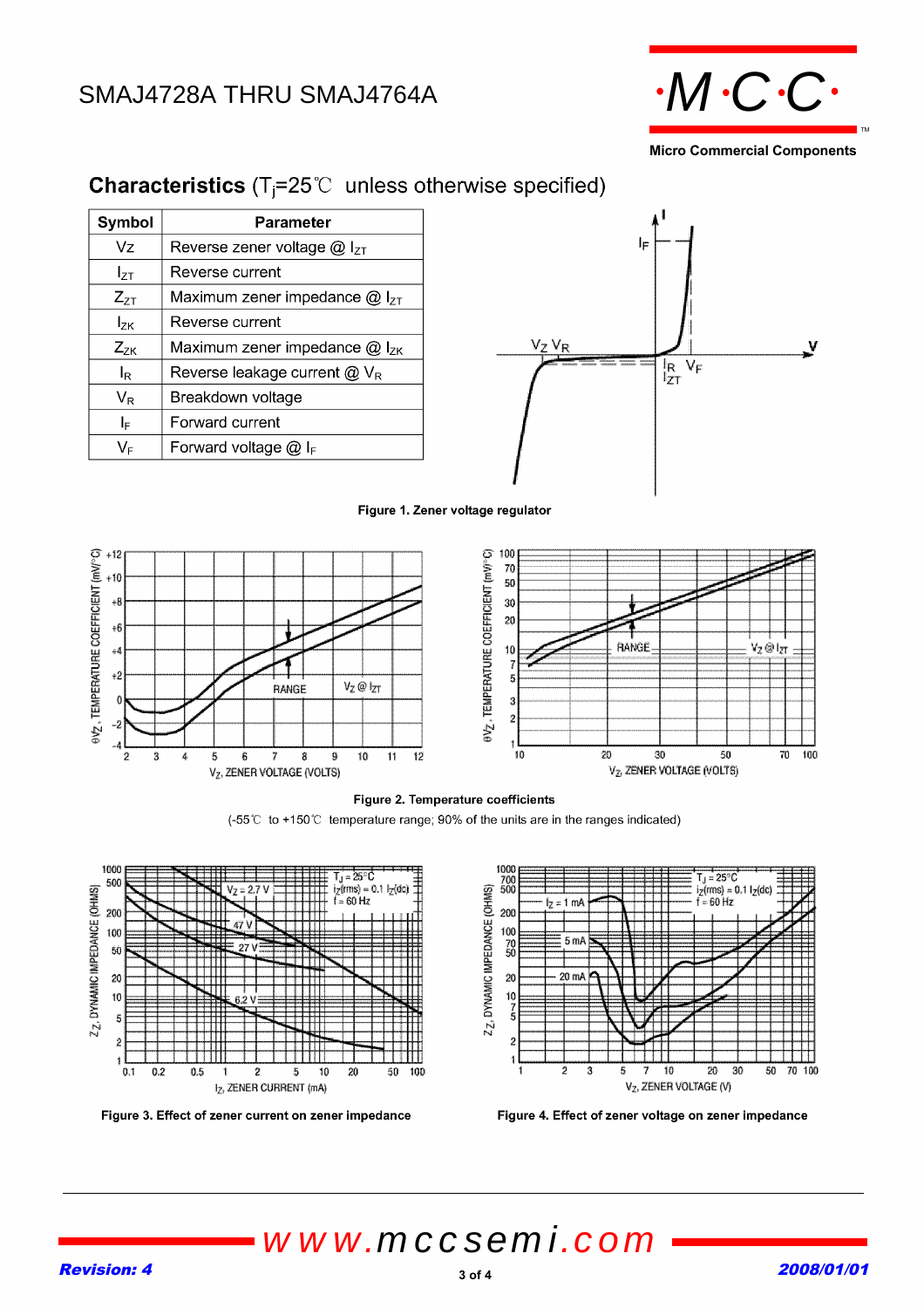# SMAJ4728A THRU SMAJ4764A  $\cdot M\cdot C\cdot C\cdot$



**Micro Commercial Components**

| Symbol          | Parameter                             |  |  |  |
|-----------------|---------------------------------------|--|--|--|
| Vz              | Reverse zener voltage $@$ $ _{ZI}$    |  |  |  |
| $I_{ZT}$        | Reverse current                       |  |  |  |
| $Z_{ZT}$        | Maximum zener impedance $@$ $ _{z_1}$ |  |  |  |
| l <sub>zκ</sub> | Reverse current                       |  |  |  |
| $Z_{ZK}$        | Maximum zener impedance $@$ $ _{ZK}$  |  |  |  |
| l <sub>R</sub>  | Reverse leakage current $@V_R$        |  |  |  |
| $V_{R}$         | Breakdown voltage                     |  |  |  |
| I⊧              | Forward current                       |  |  |  |
| VF              | Forward voltage $@$ IF                |  |  |  |

### **Characteristics** ( $T_j = 25^\circ \text{C}$  unless otherwise specified)









#### Figure 2. Temperature coefficients

(-55℃ to +150℃ temperature range; 90% of the units are in the ranges indicated)



Figure 3. Effect of zener current on zener impedance



Figure 4. Effect of zener voltage on zener impedance

*www.mccsemi.com*